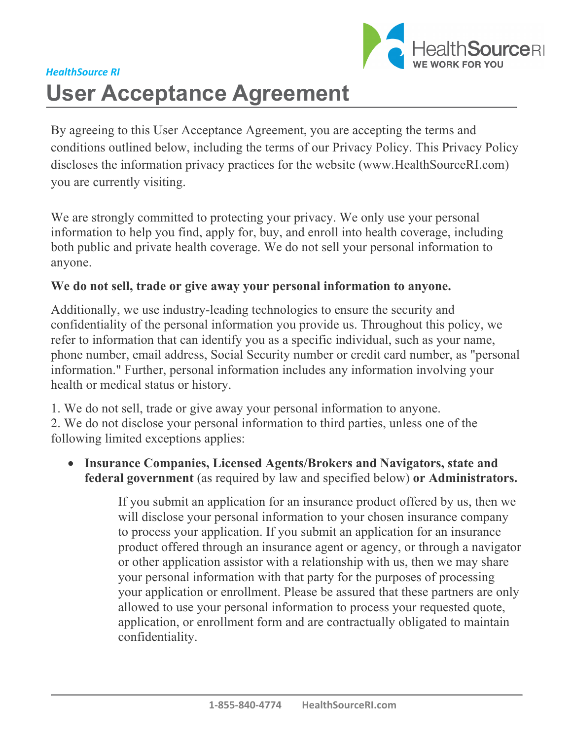

# *HealthSource RI*  **User Acceptance Agreement**

By agreeing to this User Acceptance Agreement, you are accepting the terms and conditions outlined below, including the terms of our Privacy Policy. This Privacy Policy discloses the information privacy practices for the website (www.HealthSourceRI.com) you are currently visiting.

We are strongly committed to protecting your privacy. We only use your personal information to help you find, apply for, buy, and enroll into health coverage, including both public and private health coverage. We do not sell your personal information to anyone.

#### **We do not sell, trade or give away your personal information to anyone.**

Additionally, we use industry-leading technologies to ensure the security and confidentiality of the personal information you provide us. Throughout this policy, we refer to information that can identify you as a specific individual, such as your name, phone number, email address, Social Security number or credit card number, as "personal information." Further, personal information includes any information involving your health or medical status or history.

1. We do not sell, trade or give away your personal information to anyone.

2. We do not disclose your personal information to third parties, unless one of the following limited exceptions applies:

• **Insurance Companies, Licensed Agents/Brokers and Navigators, state and federal government** (as required by law and specified below) **or Administrators.**

> If you submit an application for an insurance product offered by us, then we will disclose your personal information to your chosen insurance company to process your application. If you submit an application for an insurance product offered through an insurance agent or agency, or through a navigator or other application assistor with a relationship with us, then we may share your personal information with that party for the purposes of processing your application or enrollment. Please be assured that these partners are only allowed to use your personal information to process your requested quote, application, or enrollment form and are contractually obligated to maintain confidentiality.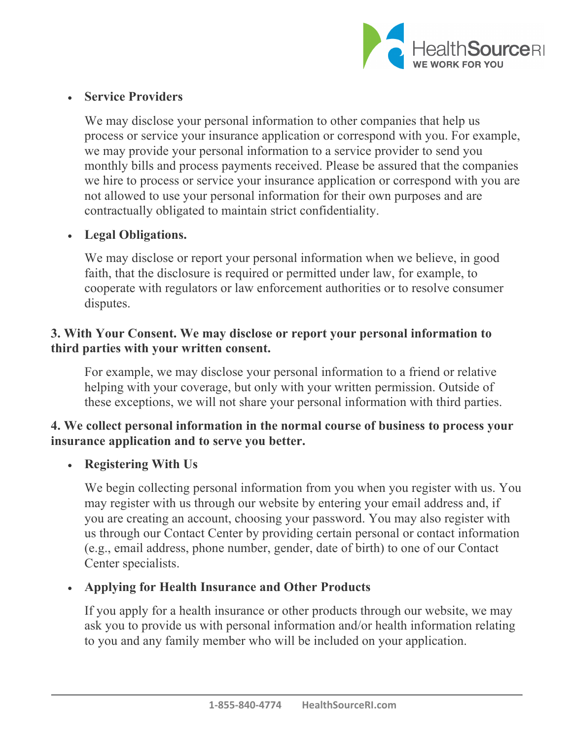

## • **Service Providers**

We may disclose your personal information to other companies that help us process or service your insurance application or correspond with you. For example, we may provide your personal information to a service provider to send you monthly bills and process payments received. Please be assured that the companies we hire to process or service your insurance application or correspond with you are not allowed to use your personal information for their own purposes and are contractually obligated to maintain strict confidentiality.

## • **Legal Obligations.**

We may disclose or report your personal information when we believe, in good faith, that the disclosure is required or permitted under law, for example, to cooperate with regulators or law enforcement authorities or to resolve consumer disputes.

## **3. With Your Consent. We may disclose or report your personal information to third parties with your written consent.**

For example, we may disclose your personal information to a friend or relative helping with your coverage, but only with your written permission. Outside of these exceptions, we will not share your personal information with third parties.

# **4. We collect personal information in the normal course of business to process your insurance application and to serve you better.**

# • **Registering With Us**

We begin collecting personal information from you when you register with us. You may register with us through our website by entering your email address and, if you are creating an account, choosing your password. You may also register with us through our Contact Center by providing certain personal or contact information (e.g., email address, phone number, gender, date of birth) to one of our Contact Center specialists.

#### • **Applying for Health Insurance and Other Products**

If you apply for a health insurance or other products through our website, we may ask you to provide us with personal information and/or health information relating to you and any family member who will be included on your application.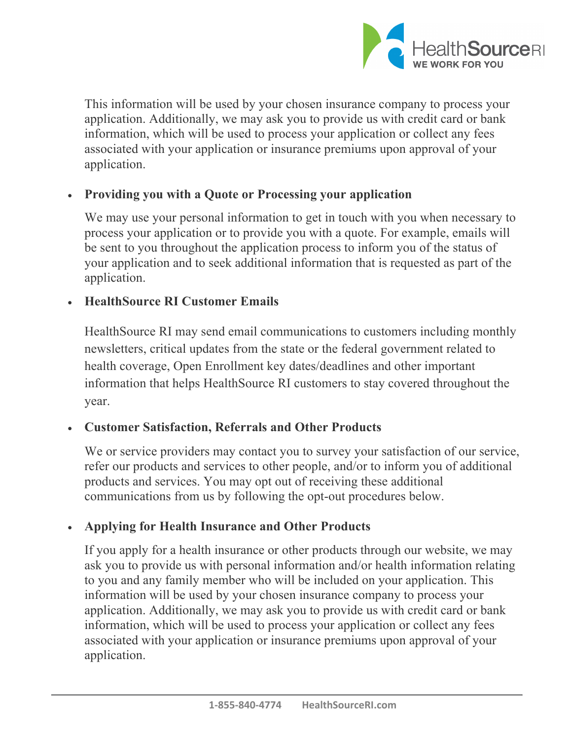

This information will be used by your chosen insurance company to process your application. Additionally, we may ask you to provide us with credit card or bank information, which will be used to process your application or collect any fees associated with your application or insurance premiums upon approval of your application.

#### • **Providing you with a Quote or Processing your application**

We may use your personal information to get in touch with you when necessary to process your application or to provide you with a quote. For example, emails will be sent to you throughout the application process to inform you of the status of your application and to seek additional information that is requested as part of the application.

#### • **HealthSource RI Customer Emails**

HealthSource RI may send email communications to customers including monthly newsletters, critical updates from the state or the federal government related to health coverage, Open Enrollment key dates/deadlines and other important information that helps HealthSource RI customers to stay covered throughout the year.

# • **Customer Satisfaction, Referrals and Other Products**

We or service providers may contact you to survey your satisfaction of our service, refer our products and services to other people, and/or to inform you of additional products and services. You may opt out of receiving these additional communications from us by following the opt-out procedures below.

#### • **Applying for Health Insurance and Other Products**

If you apply for a health insurance or other products through our website, we may ask you to provide us with personal information and/or health information relating to you and any family member who will be included on your application. This information will be used by your chosen insurance company to process your application. Additionally, we may ask you to provide us with credit card or bank information, which will be used to process your application or collect any fees associated with your application or insurance premiums upon approval of your application.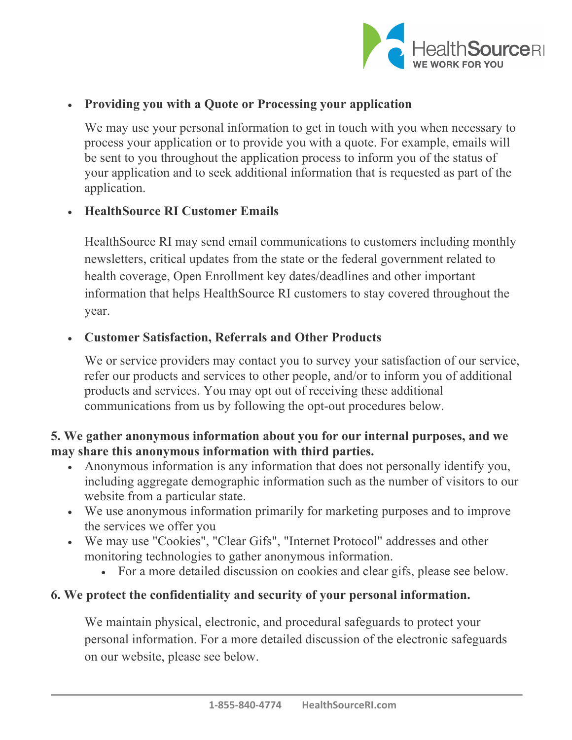

# • **Providing you with a Quote or Processing your application**

We may use your personal information to get in touch with you when necessary to process your application or to provide you with a quote. For example, emails will be sent to you throughout the application process to inform you of the status of your application and to seek additional information that is requested as part of the application.

#### • **HealthSource RI Customer Emails**

HealthSource RI may send email communications to customers including monthly newsletters, critical updates from the state or the federal government related to health coverage, Open Enrollment key dates/deadlines and other important information that helps HealthSource RI customers to stay covered throughout the year.

#### • **Customer Satisfaction, Referrals and Other Products**

We or service providers may contact you to survey your satisfaction of our service, refer our products and services to other people, and/or to inform you of additional products and services. You may opt out of receiving these additional communications from us by following the opt-out procedures below.

# **5. We gather anonymous information about you for our internal purposes, and we may share this anonymous information with third parties.**

- Anonymous information is any information that does not personally identify you, including aggregate demographic information such as the number of visitors to our website from a particular state.
- We use anonymous information primarily for marketing purposes and to improve the services we offer you
- We may use "Cookies", "Clear Gifs", "Internet Protocol" addresses and other monitoring technologies to gather anonymous information.
	- For a more detailed discussion on cookies and clear gifs, please see below.

# **6. We protect the confidentiality and security of your personal information.**

We maintain physical, electronic, and procedural safeguards to protect your personal information. For a more detailed discussion of the electronic safeguards on our website, please see below.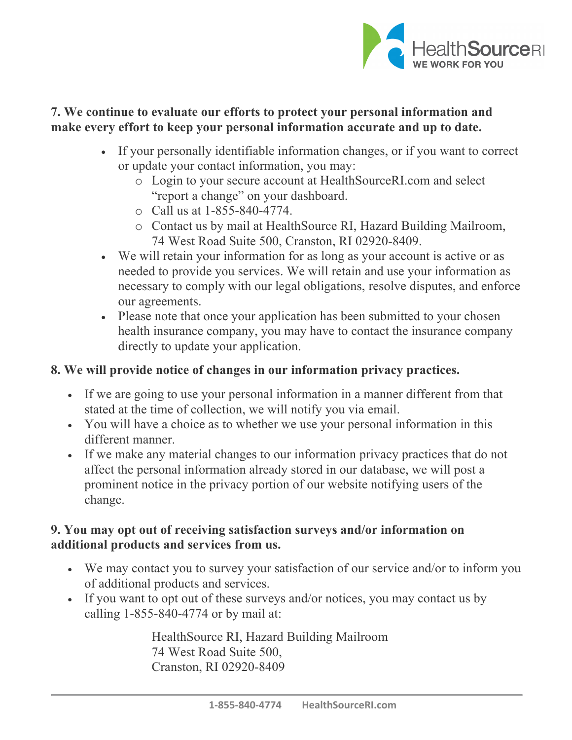

## **7. We continue to evaluate our efforts to protect your personal information and make every effort to keep your personal information accurate and up to date.**

- If your personally identifiable information changes, or if you want to correct or update your contact information, you may:
	- o Login to your secure account at HealthSourceRI.com and select "report a change" on your dashboard.
	- o Call us at 1-855-840-4774.
	- o Contact us by mail at HealthSource RI, Hazard Building Mailroom, 74 West Road Suite 500, Cranston, RI 02920-8409.
- We will retain your information for as long as your account is active or as needed to provide you services. We will retain and use your information as necessary to comply with our legal obligations, resolve disputes, and enforce our agreements.
- Please note that once your application has been submitted to your chosen health insurance company, you may have to contact the insurance company directly to update your application.

# **8. We will provide notice of changes in our information privacy practices.**

- If we are going to use your personal information in a manner different from that stated at the time of collection, we will notify you via email.
- You will have a choice as to whether we use your personal information in this different manner.
- If we make any material changes to our information privacy practices that do not affect the personal information already stored in our database, we will post a prominent notice in the privacy portion of our website notifying users of the change.

## **9. You may opt out of receiving satisfaction surveys and/or information on additional products and services from us.**

- We may contact you to survey your satisfaction of our service and/or to inform you of additional products and services.
- If you want to opt out of these surveys and/or notices, you may contact us by calling 1-855-840-4774 or by mail at:

HealthSource RI, Hazard Building Mailroom 74 West Road Suite 500, Cranston, RI 02920-8409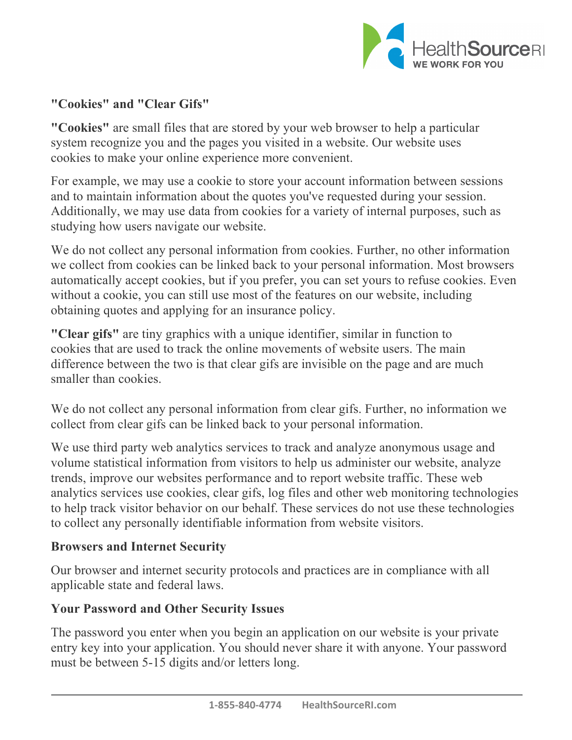

# **"Cookies" and "Clear Gifs"**

**"Cookies"** are small files that are stored by your web browser to help a particular system recognize you and the pages you visited in a website. Our website uses cookies to make your online experience more convenient.

For example, we may use a cookie to store your account information between sessions and to maintain information about the quotes you've requested during your session. Additionally, we may use data from cookies for a variety of internal purposes, such as studying how users navigate our website.

We do not collect any personal information from cookies. Further, no other information we collect from cookies can be linked back to your personal information. Most browsers automatically accept cookies, but if you prefer, you can set yours to refuse cookies. Even without a cookie, you can still use most of the features on our website, including obtaining quotes and applying for an insurance policy.

**"Clear gifs"** are tiny graphics with a unique identifier, similar in function to cookies that are used to track the online movements of website users. The main difference between the two is that clear gifs are invisible on the page and are much smaller than cookies.

We do not collect any personal information from clear gifs. Further, no information we collect from clear gifs can be linked back to your personal information.

We use third party web analytics services to track and analyze anonymous usage and volume statistical information from visitors to help us administer our website, analyze trends, improve our websites performance and to report website traffic. These web analytics services use cookies, clear gifs, log files and other web monitoring technologies to help track visitor behavior on our behalf. These services do not use these technologies to collect any personally identifiable information from website visitors.

#### **Browsers and Internet Security**

Our browser and internet security protocols and practices are in compliance with all applicable state and federal laws.

#### **Your Password and Other Security Issues**

The password you enter when you begin an application on our website is your private entry key into your application. You should never share it with anyone. Your password must be between 5-15 digits and/or letters long.